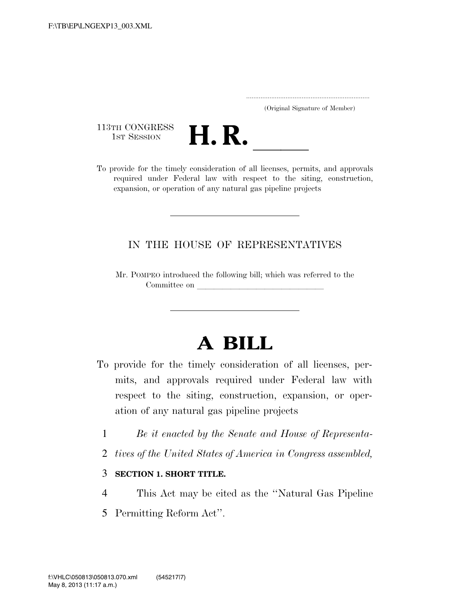..................................................................... (Original Signature of Member)

113TH CONGRESS<br>1st Session



113TH CONGRESS<br>
1ST SESSION<br>
To provide for the timely consideration of all licenses, permits, and approvals required under Federal law with respect to the siting, construction, expansion, or operation of any natural gas pipeline projects

## IN THE HOUSE OF REPRESENTATIVES

Mr. POMPEO introduced the following bill; which was referred to the Committee on

## **A BILL**

- To provide for the timely consideration of all licenses, permits, and approvals required under Federal law with respect to the siting, construction, expansion, or operation of any natural gas pipeline projects
	- 1 *Be it enacted by the Senate and House of Representa-*
	- 2 *tives of the United States of America in Congress assembled,*

## 3 **SECTION 1. SHORT TITLE.**

- 4 This Act may be cited as the ''Natural Gas Pipeline
- 5 Permitting Reform Act''.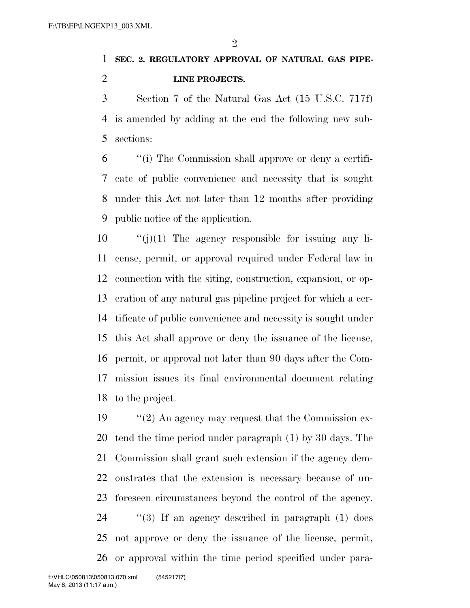$\mathfrak{D}$ 

## **SEC. 2. REGULATORY APPROVAL OF NATURAL GAS PIPE-LINE PROJECTS.**

 Section 7 of the Natural Gas Act (15 U.S.C. 717f) is amended by adding at the end the following new sub-sections:

 ''(i) The Commission shall approve or deny a certifi- cate of public convenience and necessity that is sought under this Act not later than 12 months after providing public notice of the application.

 $\frac{10}{10}$  The agency responsible for issuing any li- cense, permit, or approval required under Federal law in connection with the siting, construction, expansion, or op- eration of any natural gas pipeline project for which a cer- tificate of public convenience and necessity is sought under this Act shall approve or deny the issuance of the license, permit, or approval not later than 90 days after the Com- mission issues its final environmental document relating to the project.

 ''(2) An agency may request that the Commission ex- tend the time period under paragraph (1) by 30 days. The Commission shall grant such extension if the agency dem- onstrates that the extension is necessary because of un- foreseen circumstances beyond the control of the agency. ''(3) If an agency described in paragraph (1) does not approve or deny the issuance of the license, permit, or approval within the time period specified under para-